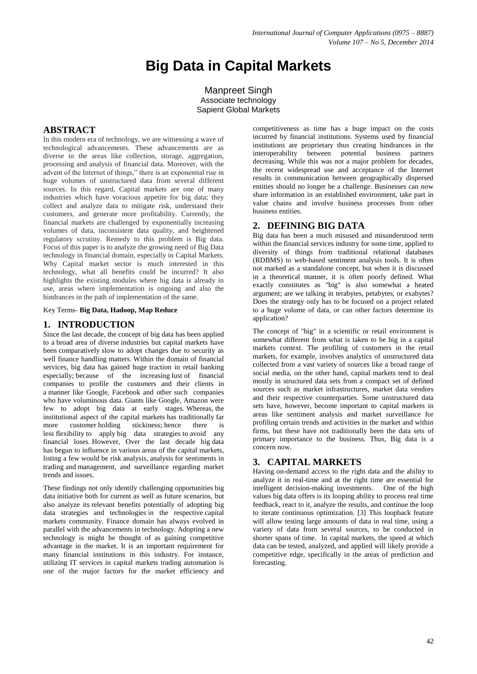# **Big Data in Capital Markets**

Manpreet Singh Associate technology Sapient Global Markets

## **ABSTRACT**

In this modern era of technology, we are witnessing a wave of technological advancements. These advancements are as diverse in the areas like collection, storage, aggregation, processing and analysis of financial data. Moreover, with the advent of the Internet of things," there is an exponential rise in huge volumes of unstructured data from several different sources. In this regard, Capital markets are one of many industries which have voracious appetite for big data; they collect and analyze data to mitigate risk, understand their customers, and generate more profitability. Currently, the financial markets are challenged by exponentially increasing volumes of data, inconsistent data quality, and heightened regulatory scrutiny. Remedy to this problem is Big data. Focus of this paper is to analyze the growing need of Big Data technology in financial domain, especially in Capital Markets. Why Capital market sector is much interested in this technology, what all benefits could be incurred? It also highlights the existing modules where big data is already in use, areas where implementation is ongoing and also the hindrances in the path of implementation of the same.

Key Terms- **Big Data, Hadoop, Map Reduce**

## **1. INTRODUCTION**

Since the last decade, the concept of big data has been applied to a broad area of diverse industries but capital markets have been comparatively slow to adopt changes due to security as well finance handling matters. Within the domain of financial services, big data has gained huge traction in retail banking especially; because of the increasing lust of financial companies to profile the customers and their clients in a manner like Google, Facebook and other such companies who have voluminous data. Giants like Google, Amazon were few to adopt big data at early stages. Whereas, the institutional aspect of the capital markets has traditionally far more customer holding stickiness; hence there is less flexibility to apply big data strategies to avoid any financial loses. However, Over the last decade big data has begun to influence in various areas of the capital markets, listing a few would be risk analysis, analysis for sentiments in trading and management, and surveillance regarding market trends and issues.

These findings not only identify challenging opportunities big data initiative both for current as well as future scenarios, but also analyze its relevant benefits potentially of adopting big data strategies and technologies in the respective capital markets community. Finance domain has always evolved in parallel with the advancements in technology. Adopting a new technology is might be thought of as gaining competitive advantage in the market. It is an important requirement for many financial institutions in this industry. For instance, utilizing IT services in capital markets trading automation is one of the major factors for the market efficiency and

competitiveness as time has a huge impact on the costs incurred by financial institutions. Systems used by financial institutions are proprietary thus creating hindrances in the interoperability between potential business partners decreasing. While this was not a major problem for decades, the recent widespread use and acceptance of the Internet results in communication between geographically dispersed entities should no longer be a challenge. Businesses can now share information in an established environment, take part in value chains and involve business processes from other business entities.

## **2. DEFINING BIG DATA**

Big data has been a much misused and misunderstood term within the financial services industry for some time, applied to diversity of things from traditional relational databases (RDBMS) to web-based sentiment analysis tools. It is often not marked as a standalone concept, but when it is discussed in a theoretical manner, it is often poorly defined. What exactly constitutes as "big" is also somewhat a heated argument; are we talking in terabytes, petabytes, or exabytes? Does the strategy only has to be focused on a project related to a huge volume of data, or can other factors determine its application?

The concept of "big" in a scientific or retail environment is somewhat different from what is taken to be big in a capital markets context. The profiling of customers in the retail markets, for example, involves analytics of unstructured data collected from a vast variety of sources like a broad range of social media, on the other hand, capital markets tend to deal mostly in structured data sets from a compact set of defined sources such as market infrastructures, market data vendors and their respective counterparties. Some unstructured data sets have, however, become important to capital markets in areas like sentiment analysis and market surveillance for profiling certain trends and activities in the market and within firms, but these have not traditionally been the data sets of primary importance to the business. Thus, Big data is a concern now.

## **3. CAPITAL MARKETS**

Having on-demand access to the right data and the ability to analyze it in real-time and at the right time are essential for intelligent decision-making investments. One of the high values big data offers is its looping ability to process real time feedback, react to it, analyze the results, and continue the loop to iterate continuous optimization. [3] This loopback feature will allow testing large amounts of data in real time, using a variety of data from several sources, to be conducted in shorter spans of time. In capital markets, the speed at which data can be tested, analyzed, and applied will likely provide a competitive edge, specifically in the areas of prediction and forecasting.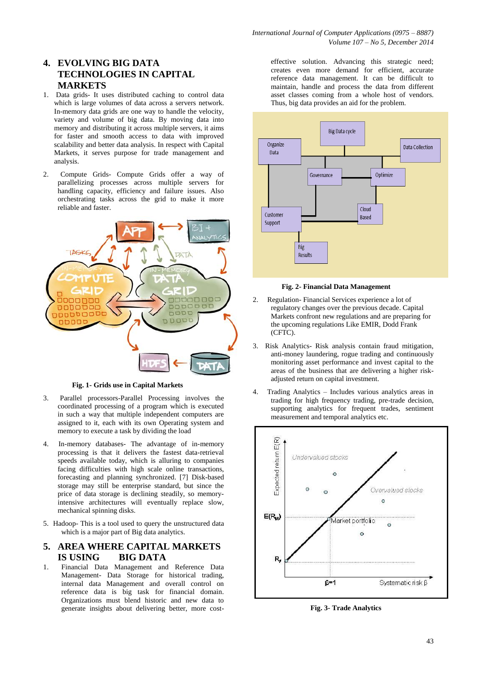# **4. EVOLVING BIG DATA TECHNOLOGIES IN CAPITAL MARKETS**

- 1. Data grids- It uses distributed caching to control data which is large volumes of data across a servers network. In-memory data grids are one way to handle the velocity, variety and volume of big data. By moving data into memory and distributing it across multiple servers, it aims for faster and smooth access to data with improved scalability and better data analysis. In respect with Capital Markets, it serves purpose for trade management and analysis.
- 2. Compute Grids- Compute Grids offer a way of parallelizing processes across multiple servers for handling capacity, efficiency and failure issues. Also orchestrating tasks across the grid to make it more reliable and faster.



**Fig. 1- Grids use in Capital Markets**

- 3. Parallel processors-Parallel Processing involves the coordinated processing of a program which is executed in such a way that multiple independent computers are assigned to it, each with its own Operating system and memory to execute a task by dividing the load
- 4. In-memory databases- The advantage of in-memory processing is that it delivers the fastest data-retrieval speeds available today, which is alluring to companies facing difficulties with high scale online transactions, forecasting and planning synchronized. [7] Disk-based storage may still be enterprise standard, but since the price of data storage is declining steadily, so memoryintensive architectures will eventually replace slow, mechanical spinning disks.
- 5. Hadoop- This is a tool used to query the unstructured data which is a major part of Big data analytics.
- **5. AREA WHERE CAPITAL MARKETS IS USING BIG DATA**
- 1. Financial Data Management and Reference Data Management- Data Storage for historical trading, internal data Management and overall control on reference data is big task for financial domain. Organizations must blend historic and new data to generate insights about delivering better, more cost-

effective solution. Advancing this strategic need; creates even more demand for efficient, accurate reference data management. It can be difficult to maintain, handle and process the data from different asset classes coming from a whole host of vendors. Thus, big data provides an aid for the problem.



#### **Fig. 2- Financial Data Management**

- 2. Regulation- Financial Services experience a lot of regulatory changes over the previous decade. Capital Markets confront new regulations and are preparing for the upcoming regulations Like EMIR, Dodd Frank (CFTC).
- 3. Risk Analytics- Risk analysis contain fraud mitigation, anti-money laundering, rogue trading and continuously monitoring asset performance and invest capital to the areas of the business that are delivering a higher riskadjusted return on capital investment.
- 4. Trading Analytics Includes various analytics areas in trading for high frequency trading, pre-trade decision, supporting analytics for frequent trades, sentiment measurement and temporal analytics etc.



**Fig. 3- Trade Analytics**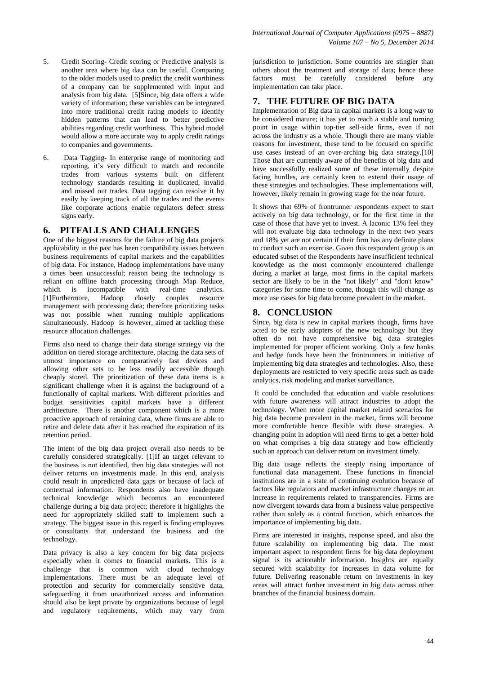- 5. Credit Scoring- Credit scoring or Predictive analysis is another area where big data can be useful. Comparing to the older models used to predict the credit worthiness of a company can be supplemented with input and analysis from big data. [5]Since, big data offers a wide variety of information; these variables can be integrated into more traditional credit rating models to identify hidden patterns that can lead to better predictive abilities regarding credit worthiness. This hybrid model would allow a more accurate way to apply credit ratings to companies and governments.
- 6. Data Tagging- In enterprise range of monitoring and reporting, it's very difficult to match and reconcile trades from various systems built on different technology standards resulting in duplicated, invalid and missed out trades. Data tagging can resolve it by easily by keeping track of all the trades and the events like corporate actions enable regulators defect stress signs early.

## **6. PITFALLS AND CHALLENGES**

One of the biggest reasons for the failure of big data projects applicability in the past has been compatibility issues between business requirements of capital markets and the capabilities of big data. For instance, Hadoop implementations have many a times been unsuccessful; reason being the technology is reliant on offline batch processing through Map Reduce, which is incompatible with real-time analytics. [1]Furthermore, Hadoop closely couples resource management with processing data; therefore prioritizing tasks was not possible when running multiple applications simultaneously. Hadoop is however, aimed at tackling these resource allocation challenges.

Firms also need to change their data storage strategy via the addition on tiered storage architecture, placing the data sets of utmost importance on comparatively fast devices and allowing other sets to be less readily accessible though cheaply stored. The prioritization of these data items is a significant challenge when it is against the background of a functionally of capital markets. With different priorities and budget sensitivities capital markets have a different architecture. There is another component which is a more proactive approach of retaining data, where firms are able to retire and delete data after it has reached the expiration of its retention period.

The intent of the big data project overall also needs to be carefully considered strategically. [1]If an target relevant to the business is not identified, then big data strategies will not deliver returns on investments made. In this end, analysis could result in unpredicted data gaps or because of lack of contextual information. Respondents also have inadequate technical knowledge which becomes an encountered challenge during a big data project; therefore it highlights the need for appropriately skilled staff to implement such a strategy. The biggest issue in this regard is finding employees or consultants that understand the business and the technology.

Data privacy is also a key concern for big data projects especially when it comes to financial markets. This is a challenge that is common with cloud technology implementations. There must be an adequate level of protection and security for commercially sensitive data, safeguarding it from unauthorized access and information should also be kept private by organizations because of legal and regulatory requirements, which may vary from

jurisdiction to jurisdiction. Some countries are stingier than others about the treatment and storage of data; hence these factors must be carefully considered before any implementation can take place.

# **7. THE FUTURE OF BIG DATA**

Implementation of Big data in capital markets is a long way to be considered mature; it has yet to reach a stable and turning point in usage within top-tier sell-side firms, even if not across the industry as a whole. Though there are many viable reasons for investment, these tend to be focused on specific use cases instead of an over-arching big data strategy.[10] Those that are currently aware of the benefits of big data and have successfully realized some of these internally despite facing hurdles, are certainly keen to extend their usage of these strategies and technologies. These implementations will, however, likely remain in growing stage for the near future.

It shows that 69% of frontrunner respondents expect to start actively on big data technology, or for the first time in the case of those that have yet to invest. A laconic 13% feel they will not evaluate big data technology in the next two years and 18% yet are not certain if their firm has any definite plans to conduct such an exercise. Given this respondent group is an educated subset of the Respondents have insufficient technical knowledge as the most commonly encountered challenge during a market at large, most firms in the capital markets sector are likely to be in the "not likely" and "don't know" categories for some time to come, though this will change as more use cases for big data become prevalent in the market.

## **8. CONCLUSION**

Since, big data is new in capital markets though, firms have acted to be early adopters of the new technology but they often do not have comprehensive big data strategies implemented for proper efficient working. Only a few banks and hedge funds have been the frontrunners in initiative of implementing big data strategies and technologies. Also, these deployments are restricted to very specific areas such as trade analytics, risk modeling and market surveillance.

It could be concluded that education and viable resolutions with future awareness will attract industries to adopt the technology. When more capital market related scenarios for big data become prevalent in the market, firms will become more comfortable hence flexible with these strategies. A changing point in adoption will need firms to get a better hold on what comprises a big data strategy and how efficiently such an approach can deliver return on investment timely.

Big data usage reflects the steeply rising importance of functional data management. These functions in financial institutions are in a state of continuing evolution because of factors like regulators and market infrastructure changes or an increase in requirements related to transparencies. Firms are now divergent towards data from a business value perspective rather than solely as a control function, which enhances the importance of implementing big data.

Firms are interested in insights, response speed, and also the future scalability on implementing big data. The most important aspect to respondent firms for big data deployment signal is its actionable information. Insights are equally secured with scalability for increases in data volume for future. Delivering reasonable return on investments in key areas will attract further investment in big data across other branches of the financial business domain.